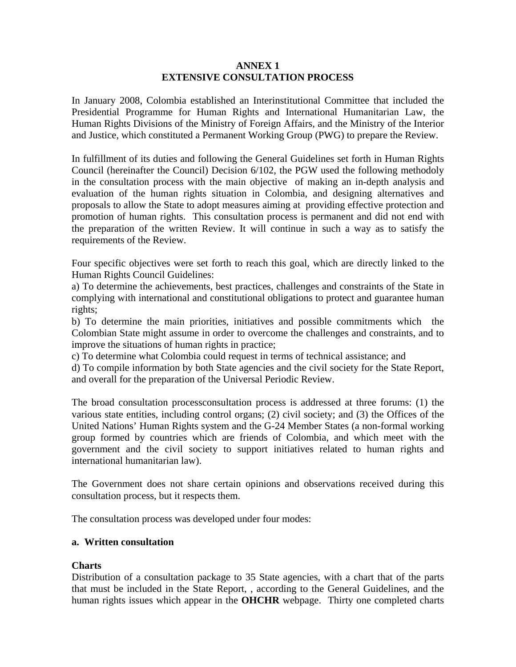### **ANNEX 1 EXTENSIVE CONSULTATION PROCESS**

In January 2008, Colombia established an Interinstitutional Committee that included the Presidential Programme for Human Rights and International Humanitarian Law, the Human Rights Divisions of the Ministry of Foreign Affairs, and the Ministry of the Interior and Justice, which constituted a Permanent Working Group (PWG) to prepare the Review.

In fulfillment of its duties and following the General Guidelines set forth in Human Rights Council (hereinafter the Council) Decision 6/102, the PGW used the following methodoly in the consultation process with the main objective of making an in-depth analysis and evaluation of the human rights situation in Colombia, and designing alternatives and proposals to allow the State to adopt measures aiming at providing effective protection and promotion of human rights. This consultation process is permanent and did not end with the preparation of the written Review. It will continue in such a way as to satisfy the requirements of the Review.

Four specific objectives were set forth to reach this goal, which are directly linked to the Human Rights Council Guidelines:

a) To determine the achievements, best practices, challenges and constraints of the State in complying with international and constitutional obligations to protect and guarantee human rights;

b) To determine the main priorities, initiatives and possible commitments which the Colombian State might assume in order to overcome the challenges and constraints, and to improve the situations of human rights in practice;

c) To determine what Colombia could request in terms of technical assistance; and

d) To compile information by both State agencies and the civil society for the State Report, and overall for the preparation of the Universal Periodic Review.

The broad consultation processconsultation process is addressed at three forums: (1) the various state entities, including control organs; (2) civil society; and (3) the Offices of the United Nations' Human Rights system and the G-24 Member States (a non-formal working group formed by countries which are friends of Colombia, and which meet with the government and the civil society to support initiatives related to human rights and international humanitarian law).

The Government does not share certain opinions and observations received during this consultation process, but it respects them.

The consultation process was developed under four modes:

### **a. Written consultation**

# **Charts**

Distribution of a consultation package to 35 State agencies, with a chart that of the parts that must be included in the State Report, , according to the General Guidelines, and the human rights issues which appear in the **OHCHR** webpage. Thirty one completed charts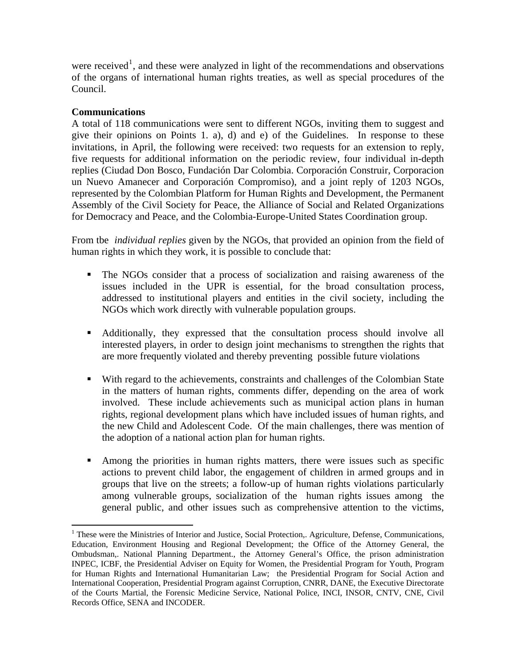were received<sup>[1](#page-1-0)</sup>, and these were analyzed in light of the recommendations and observations of the organs of international human rights treaties, as well as special procedures of the Council.

## **Communications**

1

A total of 118 communications were sent to different NGOs, inviting them to suggest and give their opinions on Points 1. a), d) and e) of the Guidelines. In response to these invitations, in April, the following were received: two requests for an extension to reply, five requests for additional information on the periodic review, four individual in-depth replies (Ciudad Don Bosco, Fundación Dar Colombia. Corporación Construir, Corporacion un Nuevo Amanecer and Corporación Compromiso), and a joint reply of 1203 NGOs, represented by the Colombian Platform for Human Rights and Development, the Permanent Assembly of the Civil Society for Peace, the Alliance of Social and Related Organizations for Democracy and Peace, and the Colombia-Europe-United States Coordination group.

From tbe *individual replies* given by the NGOs, that provided an opinion from the field of human rights in which they work, it is possible to conclude that:

- The NGOs consider that a process of socialization and raising awareness of the issues included in the UPR is essential, for the broad consultation process, addressed to institutional players and entities in the civil society, including the NGOs which work directly with vulnerable population groups.
- Additionally, they expressed that the consultation process should involve all interested players, in order to design joint mechanisms to strengthen the rights that are more frequently violated and thereby preventing possible future violations
- With regard to the achievements, constraints and challenges of the Colombian State in the matters of human rights, comments differ, depending on the area of work involved. These include achievements such as municipal action plans in human rights, regional development plans which have included issues of human rights, and the new Child and Adolescent Code. Of the main challenges, there was mention of the adoption of a national action plan for human rights.
- Among the priorities in human rights matters, there were issues such as specific actions to prevent child labor, the engagement of children in armed groups and in groups that live on the streets; a follow-up of human rights violations particularly among vulnerable groups, socialization of the human rights issues among the general public, and other issues such as comprehensive attention to the victims,

<span id="page-1-0"></span><sup>&</sup>lt;sup>1</sup> These were the Ministries of Interior and Justice, Social Protection,. Agriculture, Defense, Communications, Education, Environment Housing and Regional Development; the Office of the Attorney General, the Ombudsman,. National Planning Department., the Attorney General's Office, the prison administration INPEC, ICBF, the Presidential Adviser on Equity for Women, the Presidential Program for Youth, Program for Human Rights and International Humanitarian Law; the Presidential Program for Social Action and International Cooperation, Presidential Program against Corruption, CNRR, DANE, the Executive Directorate of the Courts Martial, the Forensic Medicine Service, National Police, INCI, INSOR, CNTV, CNE, Civil Records Office, SENA and INCODER.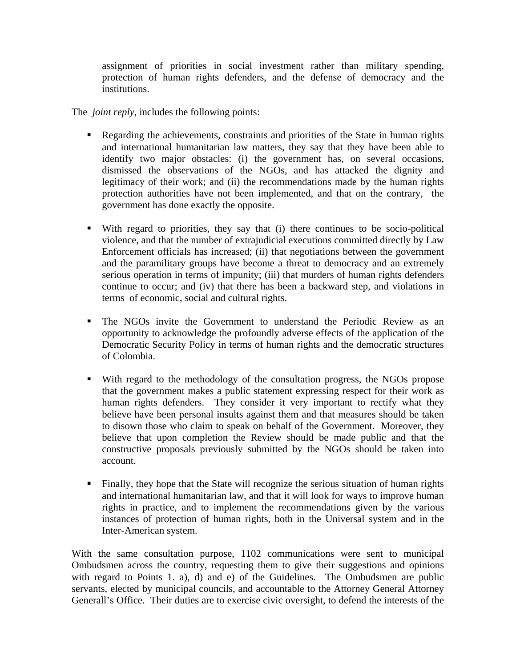assignment of priorities in social investment rather than military spending, protection of human rights defenders, and the defense of democracy and the institutions.

The *joint reply*, includes the following points:

- Regarding the achievements, constraints and priorities of the State in human rights and international humanitarian law matters, they say that they have been able to identify two major obstacles: (i) the government has, on several occasions, dismissed the observations of the NGOs, and has attacked the dignity and legitimacy of their work; and (ii) the recommendations made by the human rights protection authorities have not been implemented, and that on the contrary, the government has done exactly the opposite.
- With regard to priorities, they say that (i) there continues to be socio-political violence, and that the number of extrajudicial executions committed directly by Law Enforcement officials has increased; (ii) that negotiations between the government and the paramilitary groups have become a threat to democracy and an extremely serious operation in terms of impunity; (iii) that murders of human rights defenders continue to occur; and (iv) that there has been a backward step, and violations in terms of economic, social and cultural rights.
- The NGOs invite the Government to understand the Periodic Review as an opportunity to acknowledge the profoundly adverse effects of the application of the Democratic Security Policy in terms of human rights and the democratic structures of Colombia.
- With regard to the methodology of the consultation progress, the NGOs propose that the government makes a public statement expressing respect for their work as human rights defenders. They consider it very important to rectify what they believe have been personal insults against them and that measures should be taken to disown those who claim to speak on behalf of the Government. Moreover, they believe that upon completion the Review should be made public and that the constructive proposals previously submitted by the NGOs should be taken into account.
- Finally, they hope that the State will recognize the serious situation of human rights and international humanitarian law, and that it will look for ways to improve human rights in practice, and to implement the recommendations given by the various instances of protection of human rights, both in the Universal system and in the Inter-American system.

With the same consultation purpose, 1102 communications were sent to municipal Ombudsmen across the country, requesting them to give their suggestions and opinions with regard to Points 1. a), d) and e) of the Guidelines. The Ombudsmen are public servants, elected by municipal councils, and accountable to the Attorney General Attorney Generall's Office. Their duties are to exercise civic oversight, to defend the interests of the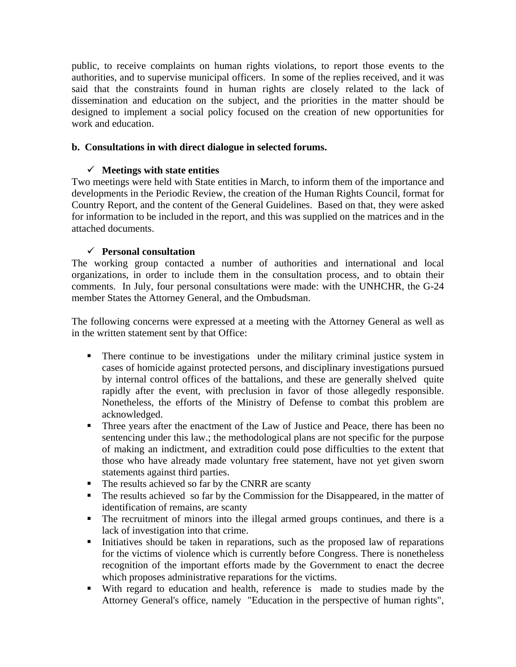public, to receive complaints on human rights violations, to report those events to the authorities, and to supervise municipal officers. In some of the replies received, and it was said that the constraints found in human rights are closely related to the lack of dissemination and education on the subject, and the priorities in the matter should be designed to implement a social policy focused on the creation of new opportunities for work and education.

## **b. Consultations in with direct dialogue in selected forums.**

### $\checkmark$  Meetings with state entities

Two meetings were held with State entities in March, to inform them of the importance and developments in the Periodic Review, the creation of the Human Rights Council, format for Country Report, and the content of the General Guidelines. Based on that, they were asked for information to be included in the report, and this was supplied on the matrices and in the attached documents.

## 9 **Personal consultation**

The working group contacted a number of authorities and international and local organizations, in order to include them in the consultation process, and to obtain their comments. In July, four personal consultations were made: with the UNHCHR, the G-24 member States the Attorney General, and the Ombudsman.

The following concerns were expressed at a meeting with the Attorney General as well as in the written statement sent by that Office:

- There continue to be investigations under the military criminal justice system in cases of homicide against protected persons, and disciplinary investigations pursued by internal control offices of the battalions, and these are generally shelved quite rapidly after the event, with preclusion in favor of those allegedly responsible. Nonetheless, the efforts of the Ministry of Defense to combat this problem are acknowledged.
- Three years after the enactment of the Law of Justice and Peace, there has been no sentencing under this law.; the methodological plans are not specific for the purpose of making an indictment, and extradition could pose difficulties to the extent that those who have already made voluntary free statement, have not yet given sworn statements against third parties.
- The results achieved so far by the CNRR are scanty
- The results achieved so far by the Commission for the Disappeared, in the matter of identification of remains, are scanty
- The recruitment of minors into the illegal armed groups continues, and there is a lack of investigation into that crime.
- Initiatives should be taken in reparations, such as the proposed law of reparations for the victims of violence which is currently before Congress. There is nonetheless recognition of the important efforts made by the Government to enact the decree which proposes administrative reparations for the victims.
- With regard to education and health, reference is made to studies made by the Attorney General's office, namely "Education in the perspective of human rights",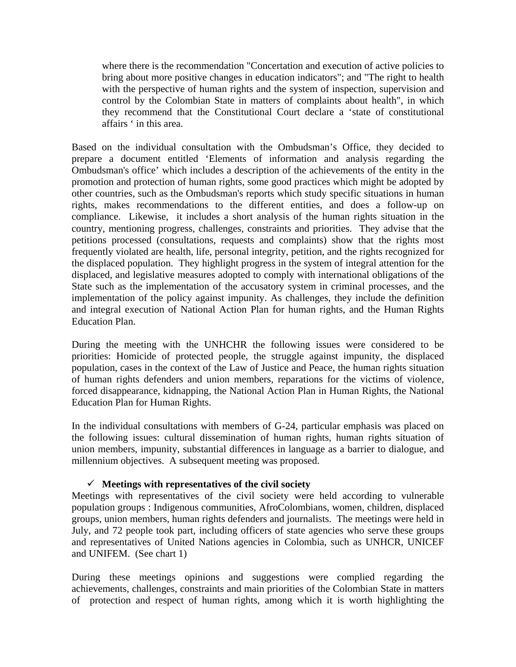where there is the recommendation "Concertation and execution of active policies to bring about more positive changes in education indicators"; and "The right to health with the perspective of human rights and the system of inspection, supervision and control by the Colombian State in matters of complaints about health", in which they recommend that the Constitutional Court declare a 'state of constitutional affairs ' in this area.

Based on the individual consultation with the Ombudsman's Office, they decided to prepare a document entitled 'Elements of information and analysis regarding the Ombudsman's office' which includes a description of the achievements of the entity in the promotion and protection of human rights, some good practices which might be adopted by other countries, such as the Ombudsman's reports which study specific situations in human rights, makes recommendations to the different entities, and does a follow-up on compliance. Likewise, it includes a short analysis of the human rights situation in the country, mentioning progress, challenges, constraints and priorities. They advise that the petitions processed (consultations, requests and complaints) show that the rights most frequently violated are health, life, personal integrity, petition, and the rights recognized for the displaced population. They highlight progress in the system of integral attention for the displaced, and legislative measures adopted to comply with international obligations of the State such as the implementation of the accusatory system in criminal processes, and the implementation of the policy against impunity. As challenges, they include the definition and integral execution of National Action Plan for human rights, and the Human Rights Education Plan.

During the meeting with the UNHCHR the following issues were considered to be priorities: Homicide of protected people, the struggle against impunity, the displaced population, cases in the context of the Law of Justice and Peace, the human rights situation of human rights defenders and union members, reparations for the victims of violence, forced disappearance, kidnapping, the National Action Plan in Human Rights, the National Education Plan for Human Rights.

In the individual consultations with members of G-24, particular emphasis was placed on the following issues: cultural dissemination of human rights, human rights situation of union members, impunity, substantial differences in language as a barrier to dialogue, and millennium objectives. A subsequent meeting was proposed.

### $\checkmark$  Meetings with representatives of the civil society

Meetings with representatives of the civil society were held according to vulnerable population groups : Indigenous communities, AfroColombians, women, children, displaced groups, union members, human rights defenders and journalists. The meetings were held in July, and 72 people took part, including officers of state agencies who serve these groups and representatives of United Nations agencies in Colombia, such as UNHCR, UNICEF and UNIFEM. (See chart 1)

During these meetings opinions and suggestions were complied regarding the achievements, challenges, constraints and main priorities of the Colombian State in matters of protection and respect of human rights, among which it is worth highlighting the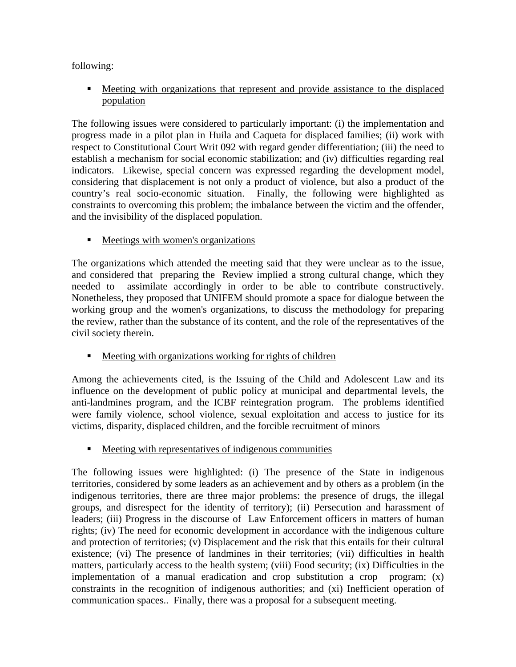following:

 Meeting with organizations that represent and provide assistance to the displaced population

The following issues were considered to particularly important: (i) the implementation and progress made in a pilot plan in Huila and Caqueta for displaced families; (ii) work with respect to Constitutional Court Writ 092 with regard gender differentiation; (iii) the need to establish a mechanism for social economic stabilization; and (iv) difficulties regarding real indicators. Likewise, special concern was expressed regarding the development model, considering that displacement is not only a product of violence, but also a product of the country's real socio-economic situation. Finally, the following were highlighted as constraints to overcoming this problem; the imbalance between the victim and the offender, and the invisibility of the displaced population.

 $\blacksquare$  Meetings with women's organizations

The organizations which attended the meeting said that they were unclear as to the issue, and considered that preparing the Review implied a strong cultural change, which they needed to assimilate accordingly in order to be able to contribute constructively. Nonetheless, they proposed that UNIFEM should promote a space for dialogue between the working group and the women's organizations, to discuss the methodology for preparing the review, rather than the substance of its content, and the role of the representatives of the civil society therein.

Meeting with organizations working for rights of children

Among the achievements cited, is the Issuing of the Child and Adolescent Law and its influence on the development of public policy at municipal and departmental levels, the anti-landmines program, and the ICBF reintegration program. The problems identified were family violence, school violence, sexual exploitation and access to justice for its victims, disparity, displaced children, and the forcible recruitment of minors

Meeting with representatives of indigenous communities

The following issues were highlighted: (i) The presence of the State in indigenous territories, considered by some leaders as an achievement and by others as a problem (in the indigenous territories, there are three major problems: the presence of drugs, the illegal groups, and disrespect for the identity of territory); (ii) Persecution and harassment of leaders; (iii) Progress in the discourse of Law Enforcement officers in matters of human rights; (iv) The need for economic development in accordance with the indigenous culture and protection of territories; (v) Displacement and the risk that this entails for their cultural existence; (vi) The presence of landmines in their territories; (vii) difficulties in health matters, particularly access to the health system; (viii) Food security; (ix) Difficulties in the implementation of a manual eradication and crop substitution a crop program; (x) constraints in the recognition of indigenous authorities; and (xi) Inefficient operation of communication spaces.. Finally, there was a proposal for a subsequent meeting.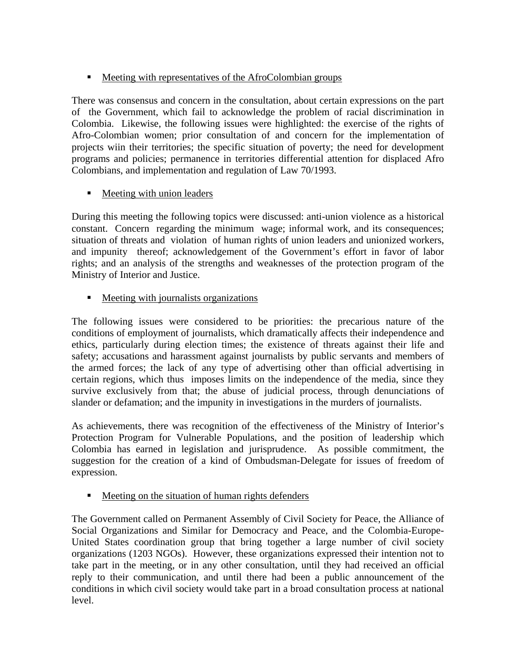# **Meeting with representatives of the AfroColombian groups**

There was consensus and concern in the consultation, about certain expressions on the part of the Government, which fail to acknowledge the problem of racial discrimination in Colombia. Likewise, the following issues were highlighted: the exercise of the rights of Afro-Colombian women; prior consultation of and concern for the implementation of projects wiin their territories; the specific situation of poverty; the need for development programs and policies; permanence in territories differential attention for displaced Afro Colombians, and implementation and regulation of Law 70/1993.

# Meeting with union leaders

During this meeting the following topics were discussed: anti-union violence as a historical constant. Concern regarding the minimum wage; informal work, and its consequences; situation of threats and violation of human rights of union leaders and unionized workers, and impunity thereof; acknowledgement of the Government's effort in favor of labor rights; and an analysis of the strengths and weaknesses of the protection program of the Ministry of Interior and Justice.

Meeting with journalists organizations

The following issues were considered to be priorities: the precarious nature of the conditions of employment of journalists, which dramatically affects their independence and ethics, particularly during election times; the existence of threats against their life and safety; accusations and harassment against journalists by public servants and members of the armed forces; the lack of any type of advertising other than official advertising in certain regions, which thus imposes limits on the independence of the media, since they survive exclusively from that; the abuse of judicial process, through denunciations of slander or defamation; and the impunity in investigations in the murders of journalists.

As achievements, there was recognition of the effectiveness of the Ministry of Interior's Protection Program for Vulnerable Populations, and the position of leadership which Colombia has earned in legislation and jurisprudence. As possible commitment, the suggestion for the creation of a kind of Ombudsman-Delegate for issues of freedom of expression.

Meeting on the situation of human rights defenders

The Government called on Permanent Assembly of Civil Society for Peace, the Alliance of Social Organizations and Similar for Democracy and Peace, and the Colombia-Europe-United States coordination group that bring together a large number of civil society organizations (1203 NGOs). However, these organizations expressed their intention not to take part in the meeting, or in any other consultation, until they had received an official reply to their communication, and until there had been a public announcement of the conditions in which civil society would take part in a broad consultation process at national level.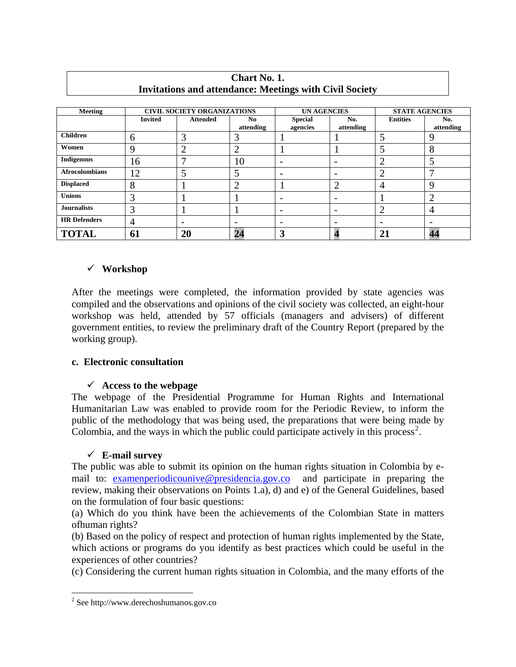| <b>Meeting</b>        | <b>CIVIL SOCIETY ORGANIZATIONS</b> |                 |                          | <b>UN AGENCIES</b>         |                          | <b>STATE AGENCIES</b> |                          |
|-----------------------|------------------------------------|-----------------|--------------------------|----------------------------|--------------------------|-----------------------|--------------------------|
|                       | <b>Invited</b>                     | <b>Attended</b> | No.<br>attending         | <b>Special</b><br>agencies | No.<br>attending         | <b>Entities</b>       | No.<br>attending         |
| <b>Children</b>       | 6                                  | 3               | 3                        |                            |                          |                       | 9                        |
| Women                 | 9                                  | ി               | $\overline{2}$           |                            |                          | ς                     | 8                        |
| <b>Indigenous</b>     | 16                                 |                 | 10                       | -                          | $\overline{\phantom{0}}$ |                       |                          |
| <b>Afrocolombians</b> | 12                                 |                 | 5                        | $\overline{\phantom{0}}$   | $\overline{\phantom{a}}$ | ി                     | $\mathbf{\tau}$          |
| <b>Displaced</b>      | 8                                  |                 | っ<br>∠                   |                            | ി                        | 4                     | 9                        |
| <b>Unions</b>         | 3                                  |                 |                          | -                          | $\overline{\phantom{0}}$ |                       | റ                        |
| <b>Journalists</b>    | 3                                  |                 |                          | -                          | $\overline{\phantom{a}}$ |                       | 4                        |
| <b>HR</b> Defenders   | $\overline{4}$                     | -               | $\overline{\phantom{a}}$ | -                          | $\overline{\phantom{0}}$ |                       | $\overline{\phantom{0}}$ |
| <b>TOTAL</b>          | 61                                 | <b>20</b>       | 24                       | 3                          |                          | 21                    | 44                       |

### **Chart No. 1. Invitations and attendance: Meetings with Civil Society**

# 9 **Workshop**

After the meetings were completed, the information provided by state agencies was compiled and the observations and opinions of the civil society was collected, an eight-hour workshop was held, attended by 57 officials (managers and advisers) of different government entities, to review the preliminary draft of the Country Report (prepared by the working group).

### **c. Electronic consultation**

# 9 **Access to the webpage**

The webpage of the Presidential Programme for Human Rights and International Humanitarian Law was enabled to provide room for the Periodic Review, to inform the public of the methodology that was being used, the preparations that were being made by Colombia, and the ways in which the public could participate actively in this process<sup>[2](#page-7-0)</sup>.

# 9 **E-mail survey**

The public was able to submit its opinion on the human rights situation in Colombia by email to: [examenperiodicounive@presidencia.gov.co](mailto:examenperiodicounive@presidencia.gov.co) and participate in preparing the review, making their observations on Points 1.a), d) and e) of the General Guidelines, based on the formulation of four basic questions:

(a) Which do you think have been the achievements of the Colombian State in matters ofhuman rights?

(b) Based on the policy of respect and protection of human rights implemented by the State, which actions or programs do you identify as best practices which could be useful in the experiences of other countries?

(c) Considering the current human rights situation in Colombia, and the many efforts of the

1

<span id="page-7-0"></span><sup>2</sup> See http://www.derechoshumanos.gov.co